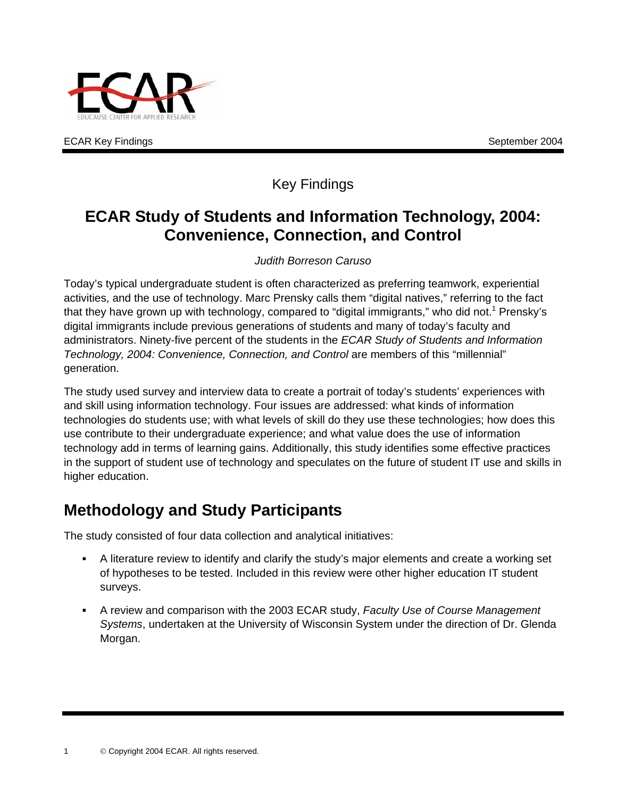

ECAR Key Findings No. 2004 September 2004

## Key Findings

## **ECAR Study of Students and Information Technology, 2004: Convenience, Connection, and Control**

#### *Judith Borreson Caruso*

Today's typical undergraduate student is often characterized as preferring teamwork, experiential activities, and the use of technology. Marc Prensky calls them "digital natives," referring to the fact that they have grown up with technology, compared to "digital immigrants," who did not.<sup>1</sup> Prensky's digital immigrants include previous generations of students and many of today's faculty and administrators. Ninety-five percent of the students in the *ECAR Study of Students and Information Technology, 2004: Convenience, Connection, and Control* are members of this "millennial" generation.

The study used survey and interview data to create a portrait of today's students' experiences with and skill using information technology. Four issues are addressed: what kinds of information technologies do students use; with what levels of skill do they use these technologies; how does this use contribute to their undergraduate experience; and what value does the use of information technology add in terms of learning gains. Additionally, this study identifies some effective practices in the support of student use of technology and speculates on the future of student IT use and skills in higher education.

# **Methodology and Study Participants**

The study consisted of four data collection and analytical initiatives:

- A literature review to identify and clarify the study's major elements and create a working set of hypotheses to be tested. Included in this review were other higher education IT student surveys.
- A review and comparison with the 2003 ECAR study, *Faculty Use of Course Management Systems*, undertaken at the University of Wisconsin System under the direction of Dr. Glenda Morgan.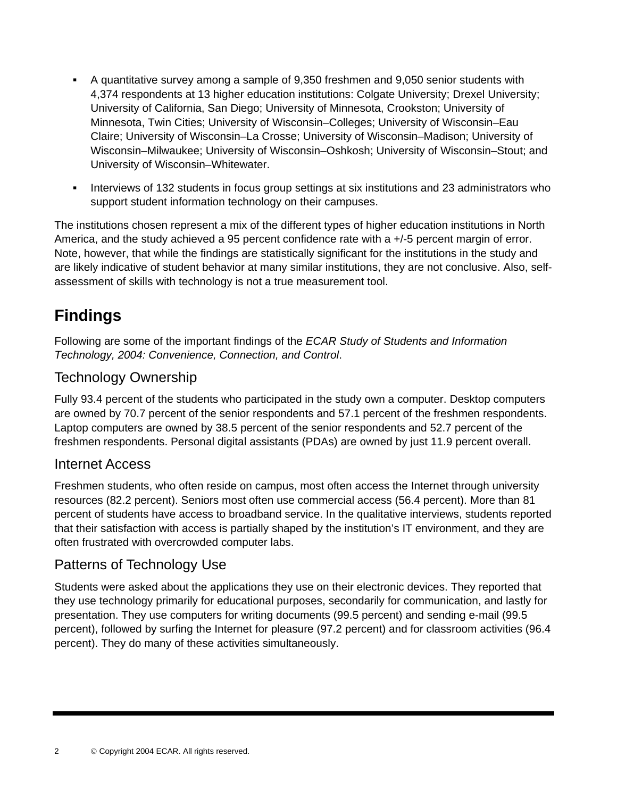- A quantitative survey among a sample of 9,350 freshmen and 9,050 senior students with 4,374 respondents at 13 higher education institutions: Colgate University; Drexel University; University of California, San Diego; University of Minnesota, Crookston; University of Minnesota, Twin Cities; University of Wisconsin–Colleges; University of Wisconsin–Eau Claire; University of Wisconsin–La Crosse; University of Wisconsin–Madison; University of Wisconsin–Milwaukee; University of Wisconsin–Oshkosh; University of Wisconsin–Stout; and University of Wisconsin–Whitewater.
- Interviews of 132 students in focus group settings at six institutions and 23 administrators who support student information technology on their campuses.

The institutions chosen represent a mix of the different types of higher education institutions in North America, and the study achieved a 95 percent confidence rate with a +/-5 percent margin of error. Note, however, that while the findings are statistically significant for the institutions in the study and are likely indicative of student behavior at many similar institutions, they are not conclusive. Also, selfassessment of skills with technology is not a true measurement tool.

# **Findings**

Following are some of the important findings of the *ECAR Study of Students and Information Technology, 2004: Convenience, Connection, and Control*.

#### Technology Ownership

Fully 93.4 percent of the students who participated in the study own a computer. Desktop computers are owned by 70.7 percent of the senior respondents and 57.1 percent of the freshmen respondents. Laptop computers are owned by 38.5 percent of the senior respondents and 52.7 percent of the freshmen respondents. Personal digital assistants (PDAs) are owned by just 11.9 percent overall.

#### Internet Access

Freshmen students, who often reside on campus, most often access the Internet through university resources (82.2 percent). Seniors most often use commercial access (56.4 percent). More than 81 percent of students have access to broadband service. In the qualitative interviews, students reported that their satisfaction with access is partially shaped by the institution's IT environment, and they are often frustrated with overcrowded computer labs.

### Patterns of Technology Use

Students were asked about the applications they use on their electronic devices. They reported that they use technology primarily for educational purposes, secondarily for communication, and lastly for presentation. They use computers for writing documents (99.5 percent) and sending e-mail (99.5 percent), followed by surfing the Internet for pleasure (97.2 percent) and for classroom activities (96.4 percent). They do many of these activities simultaneously.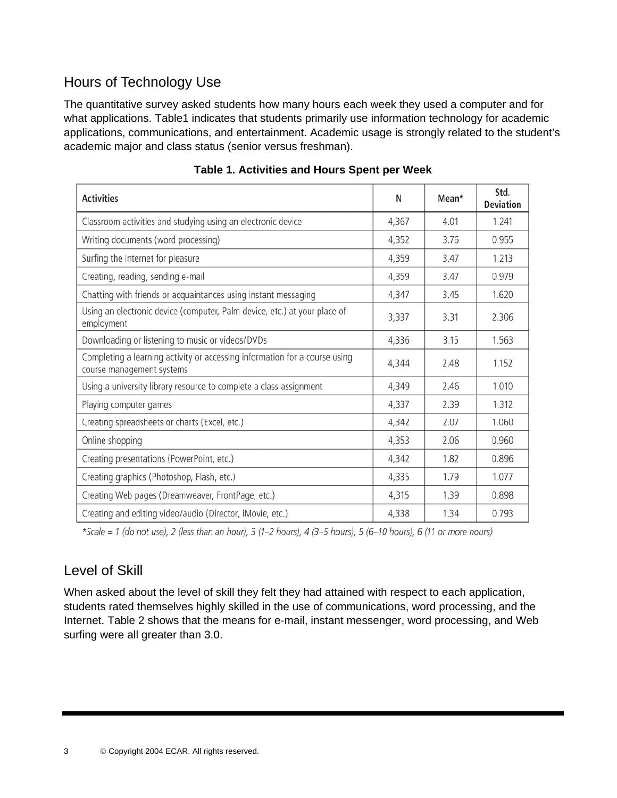## Hours of Technology Use

The quantitative survey asked students how many hours each week they used a computer and for what applications. Table1 indicates that students primarily use information technology for academic applications, communications, and entertainment. Academic usage is strongly related to the student's academic major and class status (senior versus freshman).

| <b>Activities</b>                                                                                       | N     | Mean* | Std.<br><b>Deviation</b> |
|---------------------------------------------------------------------------------------------------------|-------|-------|--------------------------|
| Classroom activities and studying using an electronic device                                            | 4,367 | 4.01  | 1.241                    |
| Writing documents (word processing)                                                                     | 4,352 | 3.76  | 0.955                    |
| Surfing the Internet for pleasure                                                                       | 4,359 | 3.47  | 1.213                    |
| Creating, reading, sending e-mail                                                                       | 4,359 | 3.47  | 0.979                    |
| Chatting with friends or acquaintances using instant messaging                                          | 4,347 | 3.45  | 1.620                    |
| Using an electronic device (computer, Palm device, etc.) at your place of<br>employment                 | 3,337 | 3.31  | 2.306                    |
| Downloading or listening to music or videos/DVDs                                                        | 4,336 | 3.15  | 1.563                    |
| Completing a learning activity or accessing information for a course using<br>course management systems | 4,344 | 2.48  | 1.152                    |
| Using a university library resource to complete a class assignment                                      | 4,349 | 2.46  | 1.010                    |
| Playing computer games                                                                                  | 4,337 | 2.39  | 1.312                    |
| Creating spreadsheets or charts (Excel, etc.)                                                           | 4,342 | 2.07  | 1.060                    |
| Online shopping                                                                                         | 4,353 | 2.06  | 0.960                    |
| Creating presentations (PowerPoint, etc.)                                                               | 4,342 | 1.82  | 0.896                    |
| Creating graphics (Photoshop, Flash, etc.)                                                              | 4,335 | 1.79  | 1.077                    |
| Creating Web pages (Dreamweaver, FrontPage, etc.)                                                       | 4,315 | 1.39  | 0.898                    |
| Creating and editing video/audio (Director, iMovie, etc.)                                               | 4,338 | 1.34  | 0.793                    |

\*Scale = 1 (do not use), 2 (less than an hour), 3 (1-2 hours), 4 (3-5 hours), 5 (6-10 hours), 6 (11 or more hours)

### Level of Skill

When asked about the level of skill they felt they had attained with respect to each application, students rated themselves highly skilled in the use of communications, word processing, and the Internet. Table 2 shows that the means for e-mail, instant messenger, word processing, and Web surfing were all greater than 3.0.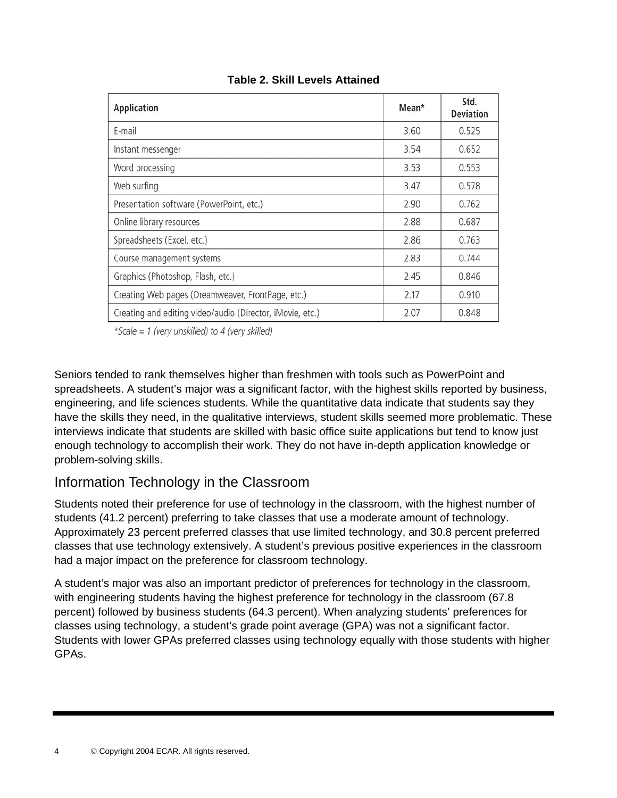| Application                                               | Mean* | Std.<br><b>Deviation</b> |
|-----------------------------------------------------------|-------|--------------------------|
| E-mail                                                    | 3.60  | 0.525                    |
| Instant messenger                                         | 3.54  | 0.652                    |
| Word processing                                           | 3.53  | 0.553                    |
| Web surfing                                               | 3.47  | 0.578                    |
| Presentation software (PowerPoint, etc.)                  | 2.90  | 0.762                    |
| Online library resources                                  | 2.88  | 0.687                    |
| Spreadsheets (Excel, etc.)                                | 2.86  | 0.763                    |
| Course management systems                                 | 2.83  | 0.744                    |
| Graphics (Photoshop, Flash, etc.)                         | 2.45  | 0.846                    |
| Creating Web pages (Dreamweaver, FrontPage, etc.)         | 2.17  | 0.910                    |
| Creating and editing video/audio (Director, iMovie, etc.) | 2.07  | 0.848                    |

#### **Table 2. Skill Levels Attained**

\*Scale = 1 (very unskilled) to 4 (very skilled)

Seniors tended to rank themselves higher than freshmen with tools such as PowerPoint and spreadsheets. A student's major was a significant factor, with the highest skills reported by business, engineering, and life sciences students. While the quantitative data indicate that students say they have the skills they need, in the qualitative interviews, student skills seemed more problematic. These interviews indicate that students are skilled with basic office suite applications but tend to know just enough technology to accomplish their work. They do not have in-depth application knowledge or problem-solving skills.

#### Information Technology in the Classroom

Students noted their preference for use of technology in the classroom, with the highest number of students (41.2 percent) preferring to take classes that use a moderate amount of technology. Approximately 23 percent preferred classes that use limited technology, and 30.8 percent preferred classes that use technology extensively. A student's previous positive experiences in the classroom had a major impact on the preference for classroom technology.

A student's major was also an important predictor of preferences for technology in the classroom, with engineering students having the highest preference for technology in the classroom (67.8) percent) followed by business students (64.3 percent). When analyzing students' preferences for classes using technology, a student's grade point average (GPA) was not a significant factor. Students with lower GPAs preferred classes using technology equally with those students with higher GPAs.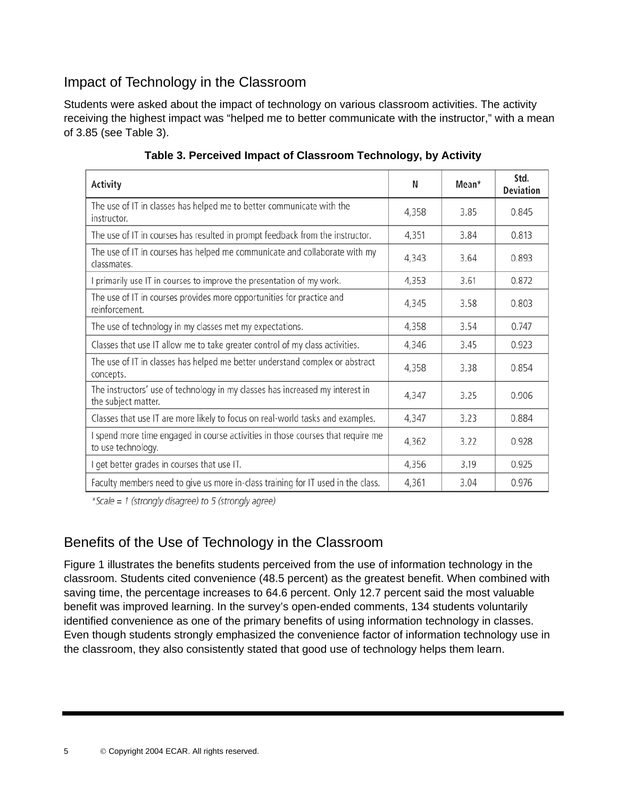### Impact of Technology in the Classroom

Students were asked about the impact of technology on various classroom activities. The activity receiving the highest impact was "helped me to better communicate with the instructor," with a mean of 3.85 (see Table 3).

| <b>Activity</b>                                                                                       | N     | Mean* | Std.<br><b>Deviation</b> |
|-------------------------------------------------------------------------------------------------------|-------|-------|--------------------------|
| The use of IT in classes has helped me to better communicate with the<br>instructor.                  | 4,358 | 3.85  | 0.845                    |
| The use of IT in courses has resulted in prompt feedback from the instructor.                         | 4,351 | 3.84  | 0.813                    |
| The use of IT in courses has helped me communicate and collaborate with my<br>classmates.             | 4,343 | 3.64  | 0.893                    |
| I primarily use IT in courses to improve the presentation of my work.                                 | 4,353 | 3.61  | 0.872                    |
| The use of IT in courses provides more opportunities for practice and<br>reinforcement.               | 4,345 | 3.58  | 0.803                    |
| The use of technology in my classes met my expectations.                                              | 4,358 | 3.54  | 0.747                    |
| Classes that use IT allow me to take greater control of my class activities.                          | 4,346 | 3.45  | 0.923                    |
| The use of IT in classes has helped me better understand complex or abstract<br>concepts.             | 4,358 | 3.38  | 0.854                    |
| The instructors' use of technology in my classes has increased my interest in<br>the subject matter.  | 4,347 | 3.25  | 0.906                    |
| Classes that use IT are more likely to focus on real-world tasks and examples.                        | 4,347 | 3.23  | 0.884                    |
| I spend more time engaged in course activities in those courses that require me<br>to use technology. | 4,362 | 3.22  | 0.928                    |
| I get better grades in courses that use IT.                                                           | 4,356 | 3.19  | 0.925                    |
| Faculty members need to give us more in-class training for IT used in the class.                      | 4,361 | 3.04  | 0.976                    |

**Table 3. Perceived Impact of Classroom Technology, by Activity**

\*Scale = 1 (strongly disagree) to 5 (strongly agree)

### Benefits of the Use of Technology in the Classroom

Figure 1 illustrates the benefits students perceived from the use of information technology in the classroom. Students cited convenience (48.5 percent) as the greatest benefit. When combined with saving time, the percentage increases to 64.6 percent. Only 12.7 percent said the most valuable benefit was improved learning. In the survey's open-ended comments, 134 students voluntarily identified convenience as one of the primary benefits of using information technology in classes. Even though students strongly emphasized the convenience factor of information technology use in the classroom, they also consistently stated that good use of technology helps them learn.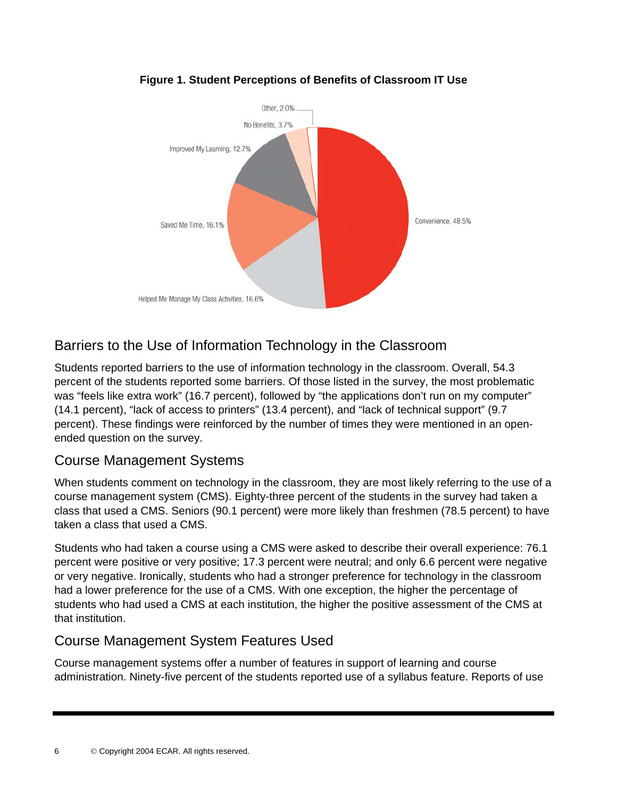

#### **Figure 1. Student Perceptions of Benefits of Classroom IT Use**

### Barriers to the Use of Information Technology in the Classroom

Students reported barriers to the use of information technology in the classroom. Overall, 54.3 percent of the students reported some barriers. Of those listed in the survey, the most problematic was "feels like extra work" (16.7 percent), followed by "the applications don't run on my computer" (14.1 percent), "lack of access to printers" (13.4 percent), and "lack of technical support" (9.7 percent). These findings were reinforced by the number of times they were mentioned in an openended question on the survey.

#### Course Management Systems

When students comment on technology in the classroom, they are most likely referring to the use of a course management system (CMS). Eighty-three percent of the students in the survey had taken a class that used a CMS. Seniors (90.1 percent) were more likely than freshmen (78.5 percent) to have taken a class that used a CMS.

Students who had taken a course using a CMS were asked to describe their overall experience: 76.1 percent were positive or very positive; 17.3 percent were neutral; and only 6.6 percent were negative or very negative. Ironically, students who had a stronger preference for technology in the classroom had a lower preference for the use of a CMS. With one exception, the higher the percentage of students who had used a CMS at each institution, the higher the positive assessment of the CMS at that institution.

#### Course Management System Features Used

Course management systems offer a number of features in support of learning and course administration. Ninety-five percent of the students reported use of a syllabus feature. Reports of use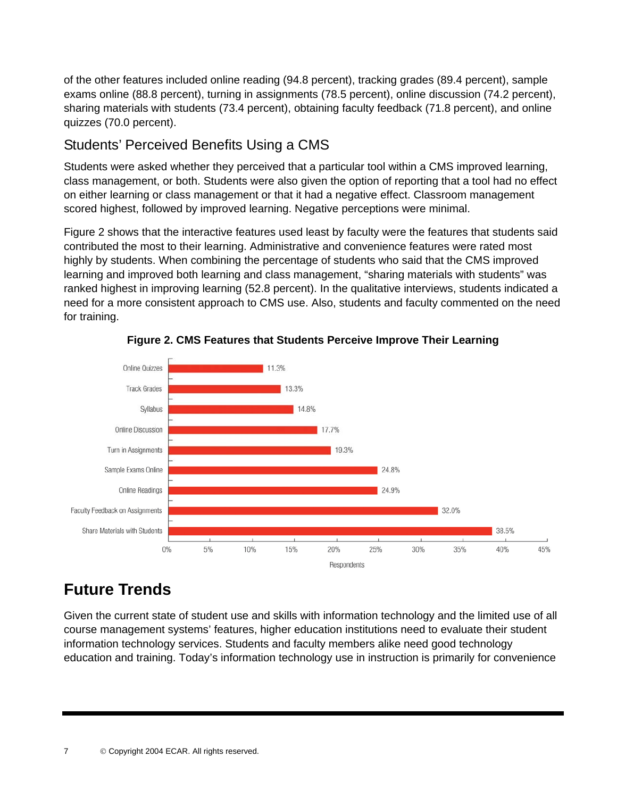of the other features included online reading (94.8 percent), tracking grades (89.4 percent), sample exams online (88.8 percent), turning in assignments (78.5 percent), online discussion (74.2 percent), sharing materials with students (73.4 percent), obtaining faculty feedback (71.8 percent), and online quizzes (70.0 percent).

### Students' Perceived Benefits Using a CMS

Students were asked whether they perceived that a particular tool within a CMS improved learning, class management, or both. Students were also given the option of reporting that a tool had no effect on either learning or class management or that it had a negative effect. Classroom management scored highest, followed by improved learning. Negative perceptions were minimal.

Figure 2 shows that the interactive features used least by faculty were the features that students said contributed the most to their learning. Administrative and convenience features were rated most highly by students. When combining the percentage of students who said that the CMS improved learning and improved both learning and class management, "sharing materials with students" was ranked highest in improving learning (52.8 percent). In the qualitative interviews, students indicated a need for a more consistent approach to CMS use. Also, students and faculty commented on the need for training.



**Figure 2. CMS Features that Students Perceive Improve Their Learning** 

# **Future Trends**

Given the current state of student use and skills with information technology and the limited use of all course management systems' features, higher education institutions need to evaluate their student information technology services. Students and faculty members alike need good technology education and training. Today's information technology use in instruction is primarily for convenience